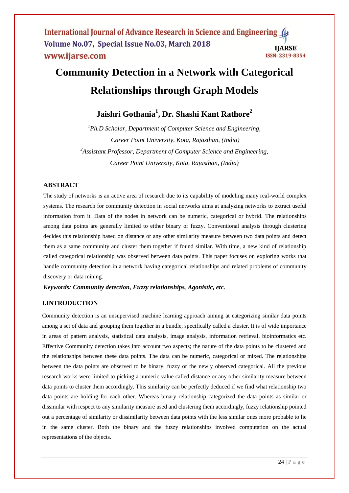# **Community Detection in a Network with Categorical Relationships through Graph Models**

# **Jaishri Gothania<sup>1</sup> , Dr. Shashi Kant Rathore<sup>2</sup>**

*<sup>1</sup>Ph.D Scholar, Department of Computer Science and Engineering, Career Point University, Kota, Rajasthan, (India) 2 Assistant Professor, Department of Computer Science and Engineering, Career Point University, Kota, Rajasthan, (India)*

# **ABSTRACT**

The study of networks is an active area of research due to its capability of modeling many real-world complex systems. The research for community detection in social networks aims at analyzing networks to extract useful information from it. Data of the nodes in network can be numeric, categorical or hybrid. The relationships among data points are generally limited to either binary or fuzzy. Conventional analysis through clustering decides this relationship based on distance or any other similarity measure between two data points and detect them as a same community and cluster them together if found similar. With time, a new kind of relationship called categorical relationship was observed between data points. This paper focuses on exploring works that handle community detection in a network having categorical relationships and related problems of community discovery or data mining.

*Keywords: Community detection, Fuzzy relationships, Agonistic, etc.*

# **I.INTRODUCTION**

Community detection is an unsupervised machine learning approach aiming at categorizing similar data points among a set of data and grouping them together in a bundle, specifically called a cluster. It is of wide importance in areas of pattern analysis, statistical data analysis, image analysis, information retrieval, bioinformatics etc. Effective Community detection takes into account two aspects; the nature of the data points to be clustered and the relationships between these data points. The data can be numeric, categorical or mixed. The relationships between the data points are observed to be binary, fuzzy or the newly observed categorical. All the previous research works were limited to picking a numeric value called distance or any other similarity measure between data points to cluster them accordingly. This similarity can be perfectly deduced if we find what relationship two data points are holding for each other. Whereas binary relationship categorized the data points as similar or dissimilar with respect to any similarity measure used and clustering them accordingly, fuzzy relationship pointed out a percentage of similarity or dissimilarity between data points with the less similar ones more probable to lie in the same cluster. Both the binary and the fuzzy relationships involved computation on the actual representations of the objects.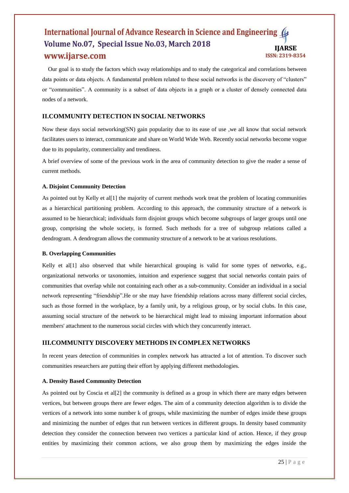Our goal is to study the factors which sway relationships and to study the categorical and correlations between data points or data objects. A fundamental problem related to these social networks is the discovery of "clusters" or "communities". A community is a subset of data objects in a graph or a cluster of densely connected data nodes of a network.

# **II.COMMUNITY DETECTION IN SOCIAL NETWORKS**

Now these days social networking(SN) gain popularity due to its ease of use ,we all know that social network facilitates users to interact, communicate and share on World Wide Web. Recently social networks become vogue due to its popularity, commerciality and trendiness.

A brief overview of some of the previous work in the area of community detection to give the reader a sense of current methods.

# **A. Disjoint Community Detection**

As pointed out by Kelly et al[1] the majority of current methods work treat the problem of locating communities as a hierarchical partitioning problem. According to this approach, the community structure of a network is assumed to be hierarchical; individuals form disjoint groups which become subgroups of larger groups until one group, comprising the whole society, is formed. Such methods for a tree of subgroup relations called a dendrogram. A dendrogram allows the community structure of a network to be at various resolutions.

# **B. Overlapping Communities**

Kelly et al<sup>[1]</sup> also observed that while hierarchical grouping is valid for some types of networks, e.g., organizational networks or taxonomies, intuition and experience suggest that social networks contain pairs of communities that overlap while not containing each other as a sub-community. Consider an individual in a social network representing "friendship".He or she may have friendship relations across many different social circles, such as those formed in the workplace, by a family unit, by a religious group, or by social clubs. In this case, assuming social structure of the network to be hierarchical might lead to missing important information about members' attachment to the numerous social circles with which they concurrently interact.

# **III.COMMUNITY DISCOVERY METHODS IN COMPLEX NETWORKS**

In recent years detection of communities in complex network has attracted a lot of attention. To discover such communities researchers are putting their effort by applying different methodologies.

# **A. Density Based Community Detection**

As pointed out by Coscia et all  $[2]$  the community is defined as a group in which there are many edges between vertices, but between groups there are fewer edges. The aim of a community detection algorithm is to divide the vertices of a network into some number k of groups, while maximizing the number of edges inside these groups and minimizing the number of edges that run between vertices in different groups. In density based community detection they consider the connection between two vertices a particular kind of action. Hence, if they group entities by maximizing their common actions, we also group them by maximizing the edges inside the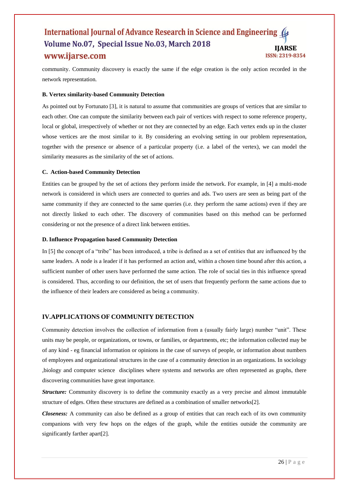community. Community discovery is exactly the same if the edge creation is the only action recorded in the network representation.

# **B. Vertex similarity-based Community Detection**

As pointed out by Fortunato [3], it is natural to assume that communities are groups of vertices that are similar to each other. One can compute the similarity between each pair of vertices with respect to some reference property, local or global, irrespectively of whether or not they are connected by an edge. Each vertex ends up in the cluster whose vertices are the most similar to it. By considering an evolving setting in our problem representation, together with the presence or absence of a particular property (i.e. a label of the vertex), we can model the similarity measures as the similarity of the set of actions.

#### **C. Action-based Community Detection**

Entities can be grouped by the set of actions they perform inside the network. For example, in [4] a multi-mode network is considered in which users are connected to queries and ads. Two users are seen as being part of the same community if they are connected to the same queries (i.e. they perform the same actions) even if they are not directly linked to each other. The discovery of communities based on this method can be performed considering or not the presence of a direct link between entities.

#### **D. Influence Propagation based Community Detection**

In [5] the concept of a "tribe" has been introduced, a tribe is defined as a set of entities that are influenced by the same leaders. A node is a leader if it has performed an action and, within a chosen time bound after this action, a sufficient number of other users have performed the same action. The role of social ties in this influence spread is considered. Thus, according to our definition, the set of users that frequently perform the same actions due to the influence of their leaders are considered as being a community.

# **IV.APPLICATIONS OF COMMUNITY DETECTION**

Community detection involves the collection of information from a (usually fairly large) number "unit". These units may be people, or organizations, or towns, or families, or departments, etc; the information collected may be of any kind - eg financial information or opinions in the case of surveys of people, or information about numbers of employees and organizational structures in the case of a community detection in an organizations. In sociology ,biology and computer science disciplines where systems and networks are often represented as graphs, there discovering communities have great importance.

*Structure:* Community discovery is to define the community exactly as a very precise and almost immutable structure of edges. Often these structures are defined as a combination of smaller networks[2].

*Closeness:* A community can also be defined as a group of entities that can reach each of its own community companions with very few hops on the edges of the graph, while the entities outside the community are significantly farther apart[2].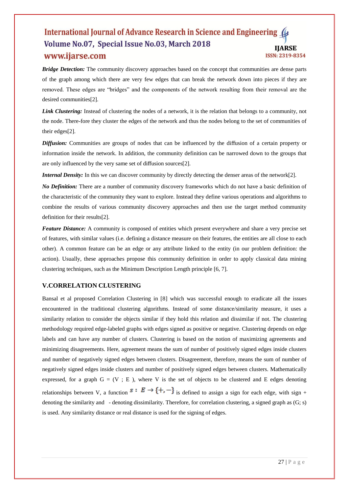*Bridge Detection:* The community discovery approaches based on the concept that communities are dense parts of the graph among which there are very few edges that can break the network down into pieces if they are removed. These edges are "bridges" and the components of the network resulting from their removal are the desired communities[2].

*Link Clustering:* Instead of clustering the nodes of a network, it is the relation that belongs to a community, not the node. There-fore they cluster the edges of the network and thus the nodes belong to the set of communities of their edges[2].

*Diffusion:* Communities are groups of nodes that can be influenced by the diffusion of a certain property or information inside the network. In addition, the community definition can be narrowed down to the groups that are only influenced by the very same set of diffusion sources[2].

*Internal Density:* In this we can discover community by directly detecting the denser areas of the network[2].

*No Definition:* There are a number of community discovery frameworks which do not have a basic definition of the characteristic of the community they want to explore. Instead they define various operations and algorithms to combine the results of various community discovery approaches and then use the target method community definition for their results[2].

*Feature Distance:* A community is composed of entities which present everywhere and share a very precise set of features, with similar values (i.e. defining a distance measure on their features, the entities are all close to each other). A common feature can be an edge or any attribute linked to the entity (in our problem definition: the action). Usually, these approaches propose this community definition in order to apply classical data mining clustering techniques, such as the Minimum Description Length principle [6, 7].

# **V.CORRELATION CLUSTERING**

Bansal et al proposed Correlation Clustering in [8] which was successful enough to eradicate all the issues encountered in the traditional clustering algorithms. Instead of some distance/similarity measure, it uses a similarity relation to consider the objects similar if they hold this relation and dissimilar if not. The clustering methodology required edge-labeled graphs with edges signed as positive or negative. Clustering depends on edge labels and can have any number of clusters. Clustering is based on the notion of maximizing agreements and minimizing disagreements. Here, agreement means the sum of number of positively signed edges inside clusters and number of negatively signed edges between clusters. Disagreement, therefore, means the sum of number of negatively signed edges inside clusters and number of positively signed edges between clusters. Mathematically expressed, for a graph  $G = (V ; E)$ , where V is the set of objects to be clustered and E edges denoting relationships between V, a function  $s : E \to \{+, -\}$  is defined to assign a sign for each edge, with sign + denoting the similarity and - denoting dissimilarity. Therefore, for correlation clustering, a signed graph as  $(G; s)$ is used. Any similarity distance or real distance is used for the signing of edges.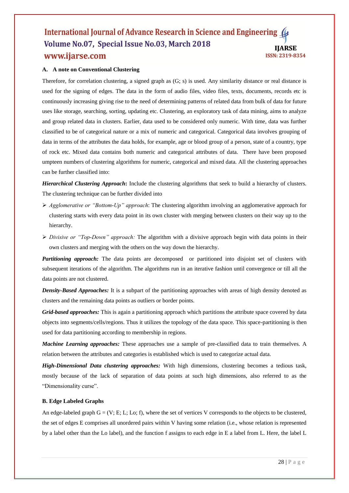# **A. A note on Conventional Clustering**

Therefore, for correlation clustering, a signed graph as (G; s) is used. Any similarity distance or real distance is used for the signing of edges. The data in the form of audio files, video files, texts, documents, records etc is continuously increasing giving rise to the need of determining patterns of related data from bulk of data for future uses like storage, searching, sorting, updating etc. Clustering, an exploratory task of data mining, aims to analyze and group related data in clusters. Earlier, data used to be considered only numeric. With time, data was further classified to be of categorical nature or a mix of numeric and categorical. Categorical data involves grouping of data in terms of the attributes the data holds, for example, age or blood group of a person, state of a country, type of rock etc. Mixed data contains both numeric and categorical attributes of data. There have been proposed umpteen numbers of clustering algorithms for numeric, categorical and mixed data. All the clustering approaches can be further classified into:

*Hierarchical Clustering Approach***:** Include the clustering algorithms that seek to build a hierarchy of clusters. The clustering technique can be further divided into

- *Agglomerative or "Bottom-Up" approach*: The clustering algorithm involving an agglomerative approach for clustering starts with every data point in its own cluster with merging between clusters on their way up to the hierarchy.
- *Divisive or "Top-Down" approach:* The algorithm with a divisive approach begin with data points in their own clusters and merging with the others on the way down the hierarchy.

**Partitioning approach:** The data points are decomposed or partitioned into disjoint set of clusters with subsequent iterations of the algorithm. The algorithms run in an iterative fashion until convergence or till all the data points are not clustered.

*Density-Based Approaches:* It is a subpart of the partitioning approaches with areas of high density denoted as clusters and the remaining data points as outliers or border points.

*Grid-based approaches:* This is again a partitioning approach which partitions the attribute space covered by data objects into segments/cells/regions. Thus it utilizes the topology of the data space. This space-partitioning is then used for data partitioning according to membership in regions.

*Machine Learning approaches:* These approaches use a sample of pre-classified data to train themselves. A relation between the attributes and categories is established which is used to categorize actual data.

*High-Dimensional Data clustering approaches:* With high dimensions, clustering becomes a tedious task, mostly because of the lack of separation of data points at such high dimensions, also referred to as the "Dimensionality curse".

# **B. Edge Labeled Graphs**

An edge-labeled graph  $G = (V; E; L; Lo; f)$ , where the set of vertices V corresponds to the objects to be clustered, the set of edges E comprises all unordered pairs within V having some relation (i.e., whose relation is represented by a label other than the Lo label), and the function f assigns to each edge in E a label from L. Here, the label L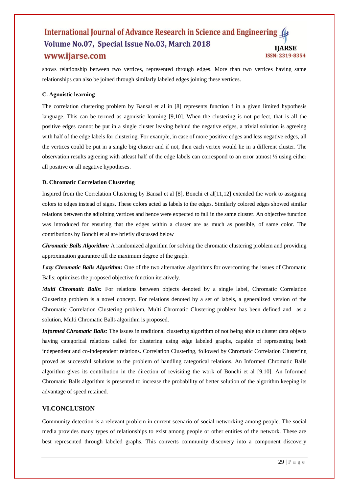shows relationship between two vertices, represented through edges. More than two vertices having same relationships can also be joined through similarly labeled edges joining these vertices.

# **C. Agnoistic learning**

The correlation clustering problem by Bansal et al in [8] represents function f in a given limited hypothesis language. This can be termed as agonistic learning [9,10]. When the clustering is not perfect, that is all the positive edges cannot be put in a single cluster leaving behind the negative edges, a trivial solution is agreeing with half of the edge labels for clustering. For example, in case of more positive edges and less negative edges, all the vertices could be put in a single big cluster and if not, then each vertex would lie in a different cluster. The observation results agreeing with atleast half of the edge labels can correspond to an error atmost ½ using either all positive or all negative hypotheses.

# **D. Chromatic Correlation Clustering**

Inspired from the Correlation Clustering by Bansal et al [8], Bonchi et al[11,12] extended the work to assigning colors to edges instead of signs. These colors acted as labels to the edges. Similarly colored edges showed similar relations between the adjoining vertices and hence were expected to fall in the same cluster. An objective function was introduced for ensuring that the edges within a cluster are as much as possible, of same color. The contributions by Bonchi et al are briefly discussed below

*Chromatic Balls Algorithm:* A randomized algorithm for solving the chromatic clustering problem and providing approximation guarantee till the maximum degree of the graph.

*Lazy Chromatic Balls Algorithm:* One of the two alternative algorithms for overcoming the issues of Chromatic Balls; optimizes the proposed objective function iteratively.

*Multi Chromatic Balls:* For relations between objects denoted by a single label, Chromatic Correlation Clustering problem is a novel concept. For relations denoted by a set of labels, a generalized version of the Chromatic Correlation Clustering problem, Multi Chromatic Clustering problem has been defined and as a solution, Multi Chromatic Balls algorithm is proposed.

*Informed Chromatic Balls:* The issues in traditional clustering algorithm of not being able to cluster data objects having categorical relations called for clustering using edge labeled graphs, capable of representing both independent and co-independent relations. Correlation Clustering, followed by Chromatic Correlation Clustering proved as successful solutions to the problem of handling categorical relations. An Informed Chromatic Balls algorithm gives its contribution in the direction of revisiting the work of Bonchi et al [9,10]. An Informed Chromatic Balls algorithm is presented to increase the probability of better solution of the algorithm keeping its advantage of speed retained.

# **VI.CONCLUSION**

Community detection is a relevant problem in current scenario of social networking among people. The social media provides many types of relationships to exist among people or other entities of the network. These are best represented through labeled graphs. This converts community discovery into a component discovery